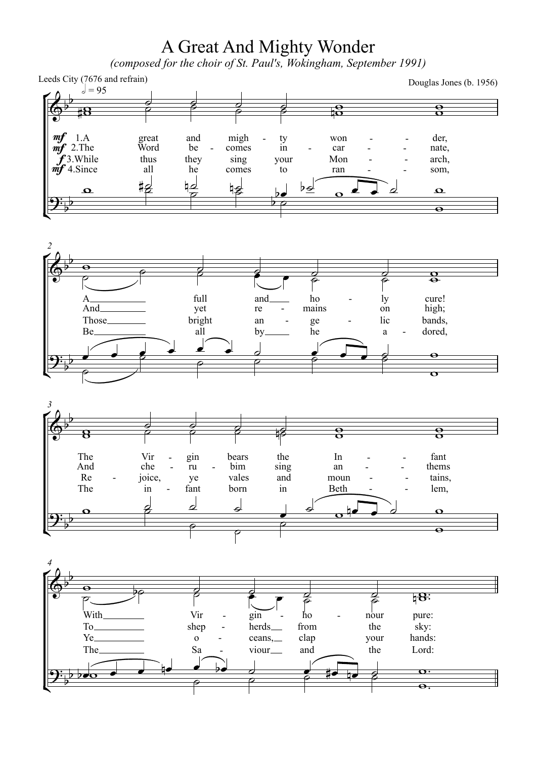## A Great And Mighty Wonder<br>(composed for the choir of St. Paul's, Wokingham, September 1991)